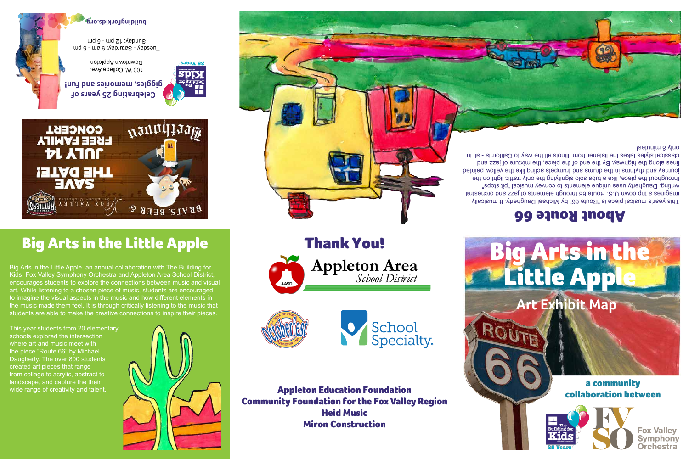a community collaboration between

## **Art Exhibit Map** Little App

Thank You!

**Appleton Area**<br>School District





**Fox Valley Symphony Orchestra** 



100 W. College Ave. Downtown Appleton

 $\text{und } g$  - we  $6$ :  $\text{Appung } g$  -  $\text{Appag } g$ und  $g - \text{und } z$ . Suppung

This year students from 20 elementary schools explored the intersection where art and music meet with the piece "Route 66" by Michael Daugherty. The over 800 students created art pieces that range from collage to acrylic, abstract to landscape, and capture the their wide range of creativity and talent.



### About Route 66

Big Arts in the Little Apple

 $\mathcal{D}$ 

**ears 25 Y**

wannitram

BRATS, BEER

**Celebrating 25 years of giggles, memories and fun!**

**CONCERT** 

**FREE FAMILY** 

**DL YJUL** 

THE DATE!

**buildingforkids.org**

Appleton Education Foundation Community Foundation for the Fox Valley Region Heid Music Miron Construction





AASD



# Big Arts in the